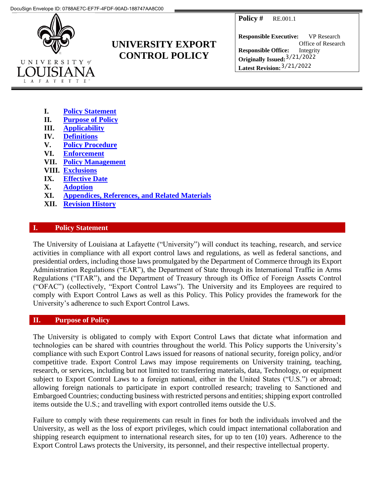**Policy #** RE.001.1



# **UNIVERSITY EXPORT CONTROL POLICY**

**Responsible Executive:** VP Research **Responsible Office:** Office of Research Integrity **Originally Issued:** 3/21/2022 **Latest Revision:**  3/21/2022

- **I. [Policy Statement](#page--1-0)**
- **II. [Purpose of Policy](#page--1-1)**
- **III. [Applicability](#page--1-2)**
- **IV. [Definitions](#page--1-3)**
- **V. [Policy Procedure](#page--1-2)**
- **VI. [Enforcement](#page--1-3)**
- **VII. [Policy Management](#page--1-4)**
- **VIII. [Exclusions](#page--1-5)**
- **IX. [Effective Date](#page--1-2)**
- **X. [Adoption](#page--1-6)**
- **XI. [Appendices, References,](#page--1-7) and Related Materials**
- **XII. [Revision History](#page--1-8)**

### **I. Policy Statement**

The University of Louisiana at Lafayette ("University") will conduct its teaching, research, and service activities in compliance with all export control laws and regulations, as well as federal sanctions, and presidential orders, including those laws promulgated by the Department of Commerce through its Export Administration Regulations ("EAR"), the Department of State through its International Traffic in Arms Regulations ("ITAR"), and the Department of Treasury through its Office of Foreign Assets Control ("OFAC") (collectively, "Export Control Laws"). The University and its Employees are required to comply with Export Control Laws as well as this Policy. This Policy provides the framework for the University's adherence to such Export Control Laws.

### **II. Purpose of Policy**

The University is obligated to comply with Export Control Laws that dictate what information and technologies can be shared with countries throughout the world. This Policy supports the University's compliance with such Export Control Laws issued for reasons of national security, foreign policy, and/or competitive trade. Export Control Laws may impose requirements on University training, teaching, research, or services, including but not limited to: transferring materials, data, Technology, or equipment subject to Export Control Laws to a foreign national, either in the United States ("U.S.") or abroad; allowing foreign nationals to participate in export controlled research; traveling to Sanctioned and Embargoed Countries; conducting business with restricted persons and entities; shipping export controlled items outside the U.S.; and travelling with export controlled items outside the U.S.

Failure to comply with these requirements can result in fines for both the individuals involved and the University, as well as the loss of export privileges, which could impact international collaboration and shipping research equipment to international research sites, for up to ten (10) years. Adherence to the Export Control Laws protects the University, its personnel, and their respective intellectual property.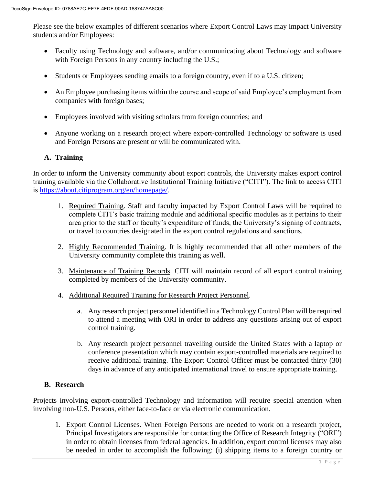Please see the below examples of different scenarios where Export Control Laws may impact University students and/or Employees:

- Faculty using Technology and software, and/or communicating about Technology and software with Foreign Persons in any country including the U.S.;
- Students or Employees sending emails to a foreign country, even if to a U.S. citizen;
- An Employee purchasing items within the course and scope of said Employee's employment from companies with foreign bases;
- Employees involved with visiting scholars from foreign countries; and
- Anyone working on a research project where export-controlled Technology or software is used and Foreign Persons are present or will be communicated with.

### **A. Training**

In order to inform the University community about export controls, the University makes export control training available via the Collaborative Institutional Training Initiative ("CITI"). The link to access CITI is [https://about.citiprogram.org/en/homepage](https://about.citiprogram.org/en/homepage/)*/*.

- 1. Required Training. Staff and faculty impacted by Export Control Laws will be required to complete CITI's basic training module and additional specific modules as it pertains to their area prior to the staff or faculty's expenditure of funds, the University's signing of contracts, or travel to countries designated in the export control regulations and sanctions.
- 2. Highly Recommended Training. It is highly recommended that all other members of the University community complete this training as well.
- 3. Maintenance of Training Records. CITI will maintain record of all export control training completed by members of the University community.
- 4. Additional Required Training for Research Project Personnel.
	- a. Any research project personnel identified in a Technology Control Plan will be required to attend a meeting with ORI in order to address any questions arising out of export control training.
	- b. Any research project personnel travelling outside the United States with a laptop or conference presentation which may contain export-controlled materials are required to receive additional training. The Export Control Officer must be contacted thirty (30) days in advance of any anticipated international travel to ensure appropriate training.

### **B. Research**

Projects involving export-controlled Technology and information will require special attention when involving non-U.S. Persons, either face-to-face or via electronic communication.

1. Export Control Licenses. When Foreign Persons are needed to work on a research project, Principal Investigators are responsible for contacting the Office of Research Integrity ("ORI") in order to obtain licenses from federal agencies. In addition, export control licenses may also be needed in order to accomplish the following: (i) shipping items to a foreign country or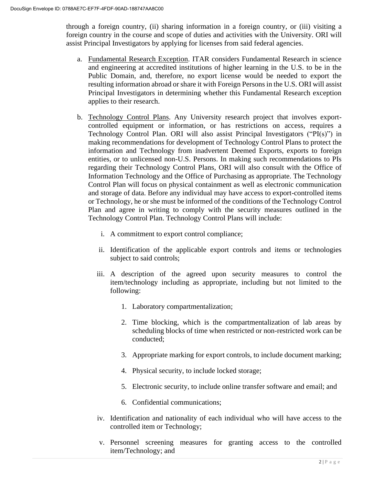through a foreign country, (ii) sharing information in a foreign country, or (iii) visiting a foreign country in the course and scope of duties and activities with the University. ORI will assist Principal Investigators by applying for licenses from said federal agencies.

- a. Fundamental Research Exception. ITAR considers Fundamental Research in science and engineering at accredited institutions of higher learning in the U.S. to be in the Public Domain, and, therefore, no export license would be needed to export the resulting information abroad or share it with Foreign Persons in the U.S. ORI will assist Principal Investigators in determining whether this Fundamental Research exception applies to their research.
- b. Technology Control Plans. Any University research project that involves exportcontrolled equipment or information, or has restrictions on access, requires a Technology Control Plan. ORI will also assist Principal Investigators ("PI(s)") in making recommendations for development of Technology Control Plans to protect the information and Technology from inadvertent Deemed Exports, exports to foreign entities, or to unlicensed non-U.S. Persons. In making such recommendations to PIs regarding their Technology Control Plans, ORI will also consult with the Office of Information Technology and the Office of Purchasing as appropriate. The Technology Control Plan will focus on physical containment as well as electronic communication and storage of data. Before any individual may have access to export-controlled items or Technology, he or she must be informed of the conditions of the Technology Control Plan and agree in writing to comply with the security measures outlined in the Technology Control Plan. Technology Control Plans will include:
	- i. A commitment to export control compliance;
	- ii. Identification of the applicable export controls and items or technologies subject to said controls;
	- iii. A description of the agreed upon security measures to control the item/technology including as appropriate, including but not limited to the following:
		- 1. Laboratory compartmentalization;
		- 2. Time blocking, which is the compartmentalization of lab areas by scheduling blocks of time when restricted or non-restricted work can be conducted;
		- 3. Appropriate marking for export controls, to include document marking;
		- 4. Physical security, to include locked storage;
		- 5. Electronic security, to include online transfer software and email; and
		- 6. Confidential communications;
	- iv. Identification and nationality of each individual who will have access to the controlled item or Technology;
	- v. Personnel screening measures for granting access to the controlled item/Technology; and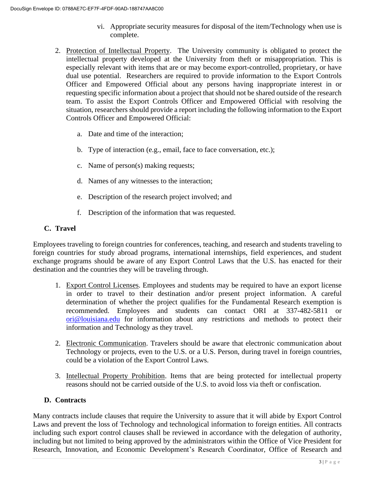- vi. Appropriate security measures for disposal of the item/Technology when use is complete.
- 2. Protection of Intellectual Property. The University community is obligated to protect the intellectual property developed at the University from theft or misappropriation. This is especially relevant with items that are or may become export-controlled, proprietary, or have dual use potential. Researchers are required to provide information to the Export Controls Officer and Empowered Official about any persons having inappropriate interest in or requesting specific information about a project that should not be shared outside of the research team. To assist the Export Controls Officer and Empowered Official with resolving the situation, researchers should provide a report including the following information to the Export Controls Officer and Empowered Official:
	- a. Date and time of the interaction;
	- b. Type of interaction (e.g., email, face to face conversation, etc.);
	- c. Name of person(s) making requests;
	- d. Names of any witnesses to the interaction;
	- e. Description of the research project involved; and
	- f. Description of the information that was requested.

### **C. Travel**

Employees traveling to foreign countries for conferences, teaching, and research and students traveling to foreign countries for study abroad programs, international internships, field experiences, and student exchange programs should be aware of any Export Control Laws that the U.S. has enacted for their destination and the countries they will be traveling through.

- 1. Export Control Licenses. Employees and students may be required to have an export license in order to travel to their destination and/or present project information. A careful determination of whether the project qualifies for the Fundamental Research exemption is recommended. Employees and students can contact ORI at 337-482-5811 or [ori@louisiana.edu](mailto:ori@louisiana.edu) for information about any restrictions and methods to protect their information and Technology as they travel.
- 2. Electronic Communication. Travelers should be aware that electronic communication about Technology or projects, even to the U.S. or a U.S. Person, during travel in foreign countries, could be a violation of the Export Control Laws.
- 3. Intellectual Property Prohibition. Items that are being protected for intellectual property reasons should not be carried outside of the U.S. to avoid loss via theft or confiscation.

### **D. Contracts**

Many contracts include clauses that require the University to assure that it will abide by Export Control Laws and prevent the loss of Technology and technological information to foreign entities. All contracts including such export control clauses shall be reviewed in accordance with the delegation of authority, including but not limited to being approved by the administrators within the Office of Vice President for Research, Innovation, and Economic Development's Research Coordinator, Office of Research and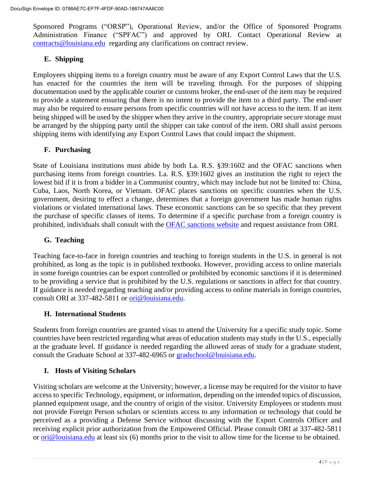Sponsored Programs ("ORSP"), Operational Review, and/or the Office of Sponsored Programs Administration Finance ("SPFAC") and approved by ORI. Contact Operational Review at [contracts@louisiana.edu](mailto:contracts@louisiana.edu) regarding any clarifications on contract review.

# **E. Shipping**

Employees shipping items to a foreign country must be aware of any Export Control Laws that the U.S. has enacted for the countries the item will be traveling through. For the purposes of shipping documentation used by the applicable courier or customs broker, the end-user of the item may be required to provide a statement ensuring that there is no intent to provide the item to a third party. The end-user may also be required to ensure persons from specific countries will not have access to the item. If an item being shipped will be used by the shipper when they arrive in the country, appropriate secure storage must be arranged by the shipping party until the shipper can take control of the item. ORI shall assist persons shipping items with identifying any Export Control Laws that could impact the shipment.

# **F. Purchasing**

State of Louisiana institutions must abide by both La. R.S. §39:1602 and the OFAC sanctions when purchasing items from foreign countries. La. R.S. §39:1602 gives an institution the right to reject the lowest bid if it is from a bidder in a Communist country, which may include but not be limited to: China, Cuba, Laos, North Korea, or Vietnam. OFAC places sanctions on specific countries when the U.S. government, desiring to effect a change, determines that a foreign government has made human rights violations or violated international laws. These economic sanctions can be so specific that they prevent the purchase of specific classes of items. To determine if a specific purchase from a foreign country is prohibited, individuals shall consult with the [OFAC sanctions website](https://home.treasury.gov/policy-issues/financial-sanctions/sanctions-programs-and-country-information) and request assistance from ORI.

# **G. Teaching**

Teaching face-to-face in foreign countries and teaching to foreign students in the U.S. in general is not prohibited, as long as the topic is in published textbooks. However, providing access to online materials in some foreign countries can be export controlled or prohibited by economic sanctions if it is determined to be providing a service that is prohibited by the U.S. regulations or sanctions in affect for that country. If guidance is needed regarding teaching and/or providing access to online materials in foreign countries, consult ORI at 337-482-5811 or [ori@louisiana.edu.](mailto:orsp@louisiana.edu)

# **H. International Students**

Students from foreign countries are granted visas to attend the University for a specific study topic. Some countries have been restricted regarding what areas of education students may study in the U.S., especially at the graduate level. If guidance is needed regarding the allowed areas of study for a graduate student, consult the Graduate School at 337-482-6965 or [gradschool@louisiana.edu.](mailto:gradschool@louisiana.edu)

# **I. Hosts of Visiting Scholars**

Visiting scholars are welcome at the University; however, a license may be required for the visitor to have access to specific Technology, equipment, or information, depending on the intended topics of discussion, planned equipment usage, and the country of origin of the visitor. University Employees or students must not provide Foreign Person scholars or scientists access to any information or technology that could be perceived as a providing a Defense Service without discussing with the Export Controls Officer and receiving explicit prior authorization from the Empowered Official. Please consult ORI at 337-482-5811 or [ori@louisiana.edu](file:///C:/Users/C00265909/AppData/Local/Microsoft/Windows/INetCache/Content.Outlook/31PW4HXC/ori@louisiana.edu) at least six (6) months prior to the visit to allow time for the license to be obtained.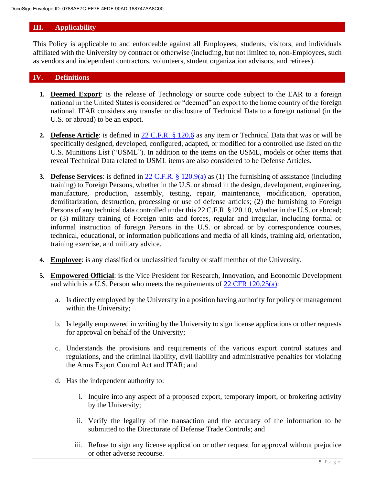# **III. Applicability**

This Policy is applicable to and enforceable against all Employees, students, visitors, and individuals affiliated with the University by contract or otherwise (including, but not limited to, non-Employees, such as vendors and independent contractors, volunteers, student organization advisors, and retirees).

# **IV. Definitions**

- **1. Deemed Export**: is the release of Technology or source code subject to the EAR to a foreign national in the United States is considered or "deemed" an export to the home country of the foreign national. ITAR considers any transfer or disclosure of Technical Data to a foreign national (in the U.S. or abroad) to be an export.
- **2. Defense Article**: is defined in 22 [C.F.R. § 120.6](https://www.govinfo.gov/content/pkg/CFR-2017-title22-vol1/pdf/CFR-2017-title22-vol1-sec120-8.pdf) as any item or Technical Data that was or will be specifically designed, developed, configured, adapted, or modified for a controlled use listed on the U.S. Munitions List ("USML"). In addition to the items on the USML, models or other items that reveal Technical Data related to USML items are also considered to be Defense Articles.
- **3. Defense Services**: is defined in [22 C.F.R. § 120.9\(](https://www.govinfo.gov/content/pkg/CFR-2017-title22-vol1/pdf/CFR-2017-title22-vol1-sec120-8.pdf)a) as (1) The furnishing of assistance (including training) to Foreign Persons, whether in the U.S. or abroad in the design, development, engineering, manufacture, production, assembly, testing, repair, maintenance, modification, operation, demilitarization, destruction, processing or use of defense articles; (2) the furnishing to Foreign Persons of any technical data controlled under this 22 C.F.R. §120.10, whether in the U.S. or abroad; or (3) military training of Foreign units and forces, regular and irregular, including formal or informal instruction of foreign Persons in the U.S. or abroad or by correspondence courses, technical, educational, or information publications and media of all kinds, training aid, orientation, training exercise, and military advice.
- **4. Employee**: is any classified or unclassified faculty or staff member of the University.
- **5. Empowered Official**: is the Vice President for Research, Innovation, and Economic Development and which is a U.S. Person who meets the requirements of [22 CFR 120.25\(](https://www.govinfo.gov/content/pkg/CFR-2019-title22-vol1/pdf/CFR-2019-title22-vol1-sec120-25.pdf)a):
	- a. Is directly employed by the University in a position having authority for policy or management within the University;
	- b. Is legally empowered in writing by the University to sign license applications or other requests for approval on behalf of the University;
	- c. Understands the provisions and requirements of the various export control statutes and regulations, and the criminal liability, civil liability and administrative penalties for violating the Arms Export Control Act and ITAR; and
	- d. Has the independent authority to:
		- i. Inquire into any aspect of a proposed export, temporary import, or brokering activity by the University;
		- ii. Verify the legality of the transaction and the accuracy of the information to be submitted to the Directorate of Defense Trade Controls; and
		- iii. Refuse to sign any license application or other request for approval without prejudice or other adverse recourse.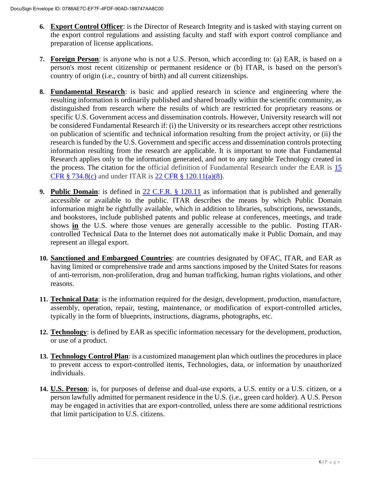- **6. Export Control Officer**: is the Director of Research Integrity and is tasked with staying current on the export control regulations and assisting faculty and staff with export control compliance and preparation of license applications.
- **7. Foreign Person**: is anyone who is not a U.S. Person, which according to: (a) EAR, is based on a person's most recent citizenship or permanent residence or (b) ITAR, is based on the person's country of origin (i.e., country of birth) and all current citizenships.
- **8. Fundamental Research**: is basic and applied research in science and engineering where the resulting information is ordinarily published and shared broadly within the scientific community, as distinguished from research where the results of which are restricted for proprietary reasons or specific U.S. Government access and dissemination controls. However, University research will not be considered Fundamental Research if: (i) the University or its researchers accept other restrictions on publication of scientific and technical information resulting from the project activity, or (ii) the research is funded by the U.S. Government and specific access and dissemination controls protecting information resulting from the research are applicable. It is important to note that Fundamental Research applies only to the information generated, and not to any tangible Technology created in the process. The citation for the official definition of Fundamental Research under the EAR is [15](https://www.ecfr.gov/cgi-bin/text-idx?SID=e1f931065371a0b333261aeee02af3bd&mc=true&node=se15.2.734_18&rgn=div8)  [CFR § 734.8\(c\)](https://www.ecfr.gov/cgi-bin/text-idx?SID=e1f931065371a0b333261aeee02af3bd&mc=true&node=se15.2.734_18&rgn=div8) and under ITAR is [22 CFR § 120.11\(a\)\(8\).](https://www.ecfr.gov/cgi-bin/text-idx?SID=7ab705aec673c0779fd8389b4e915816&mc=true&node=se22.1.120_111&rgn=div8)
- **9. Public Domain**: is defined in [22 C.F.R. § 120.11](https://www.govinfo.gov/content/pkg/CFR-2002-title22-vol1/pdf/CFR-2002-title22-vol1-sec120-11.pdf) as information that is published and generally accessible or available to the public. ITAR describes the means by which Public Domain information might be rightfully available, which in addition to libraries, subscriptions, newsstands, and bookstores, include published patents and public release at conferences, meetings, and trade shows **in** the U.S. where those venues are generally accessible to the public. Posting ITARcontrolled Technical Data to the Internet does not automatically make it Public Domain, and may represent an illegal export.
- **10. Sanctioned and Embargoed Countries**: are countries designated by OFAC, ITAR, and EAR as having limited or comprehensive trade and arms sanctions imposed by the United States for reasons of anti-terrorism, non-proliferation, drug and human trafficking, human rights violations, and other reasons.
- **11. Technical Data**: is the information required for the design, development, production, manufacture, assembly, operation, repair, testing, maintenance, or modification of export-controlled articles, typically in the form of blueprints, instructions, diagrams, photographs, etc.
- **12. Technology**: is defined by EAR as specific information necessary for the development, production, or use of a product.
- **13. Technology Control Plan**: is a customized management plan which outlines the procedures in place to prevent access to export-controlled items, Technologies, data, or information by unauthorized individuals.
- **14. U.S. Person**: is, for purposes of defense and dual-use exports, a U.S. entity or a U.S. citizen, or a person lawfully admitted for permanent residence in the U.S. (i.e., green card holder). A U.S. Person may be engaged in activities that are export-controlled, unless there are some additional restrictions that limit participation to U.S. citizens.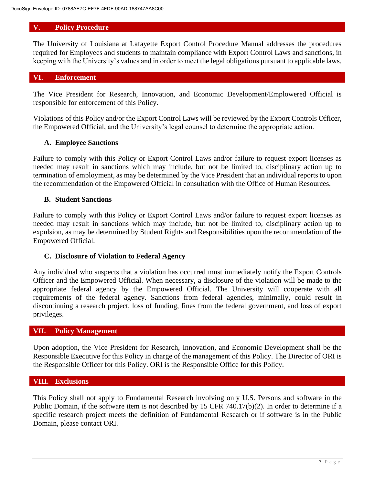### **V. Policy Procedure**

The University of Louisiana at Lafayette Export Control Procedure Manual addresses the procedures required for Employees and students to maintain compliance with Export Control Laws and sanctions, in keeping with the University's values and in order to meet the legal obligations pursuant to applicable laws.

### **VI. Enforcement**

The Vice President for Research, Innovation, and Economic Development/Emplowered Official is responsible for enforcement of this Policy.

Violations of this Policy and/or the Export Control Laws will be reviewed by the Export Controls Officer, the Empowered Official, and the University's legal counsel to determine the appropriate action.

### **A. Employee Sanctions**

Failure to comply with this Policy or Export Control Laws and/or failure to request export licenses as needed may result in sanctions which may include, but not be limited to, disciplinary action up to termination of employment, as may be determined by the Vice President that an individual reports to upon the recommendation of the Empowered Official in consultation with the Office of Human Resources.

### **B. Student Sanctions**

Failure to comply with this Policy or Export Control Laws and/or failure to request export licenses as needed may result in sanctions which may include, but not be limited to, disciplinary action up to expulsion, as may be determined by Student Rights and Responsibilities upon the recommendation of the Empowered Official.

### **C. Disclosure of Violation to Federal Agency**

Any individual who suspects that a violation has occurred must immediately notify the Export Controls Officer and the Empowered Official. When necessary, a disclosure of the violation will be made to the appropriate federal agency by the Empowered Official. The University will cooperate with all requirements of the federal agency. Sanctions from federal agencies, minimally, could result in discontinuing a research project, loss of funding, fines from the federal government, and loss of export privileges.

#### **VII. Policy Management**

Upon adoption, the Vice President for Research, Innovation, and Economic Development shall be the Responsible Executive for this Policy in charge of the management of this Policy. The Director of ORI is the Responsible Officer for this Policy. ORI is the Responsible Office for this Policy.

### **VIII. Exclusions**

This Policy shall not apply to Fundamental Research involving only U.S. Persons and software in the Public Domain, if the software item is not described by 15 CFR 740.17(b)(2). In order to determine if a specific research project meets the definition of Fundamental Research or if software is in the Public Domain, please contact ORI.